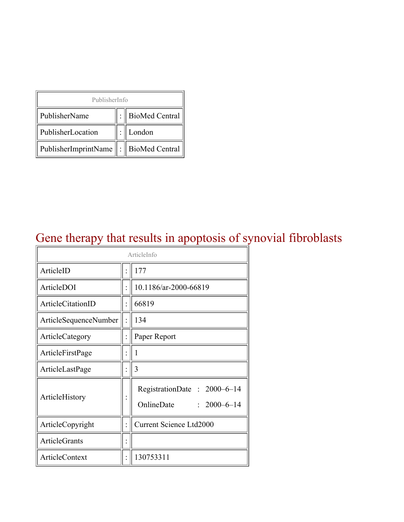| PublisherInfo                         |  |                    |  |  |
|---------------------------------------|--|--------------------|--|--|
| PublisherName                         |  | :   BioMed Central |  |  |
| PublisherLocation                     |  | London             |  |  |
| PublisherImprintName : BioMed Central |  |                    |  |  |

## Gene therapy that results in apoptosis of synovial fibroblasts

| ArticleInfo           |  |                                                                |  |
|-----------------------|--|----------------------------------------------------------------|--|
| ArticleID             |  | 177                                                            |  |
| ArticleDOI            |  | 10.1186/ar-2000-66819                                          |  |
| ArticleCitationID     |  | 66819                                                          |  |
| ArticleSequenceNumber |  | 134                                                            |  |
| ArticleCategory       |  | Paper Report                                                   |  |
| ArticleFirstPage      |  | 1                                                              |  |
| ArticleLastPage       |  | 3                                                              |  |
| ArticleHistory        |  | RegistrationDate: 2000-6-14<br>OnlineDate<br>$: 2000 - 6 - 14$ |  |
| ArticleCopyright      |  | <b>Current Science Ltd2000</b>                                 |  |
| <b>ArticleGrants</b>  |  |                                                                |  |
| <b>ArticleContext</b> |  | 130753311                                                      |  |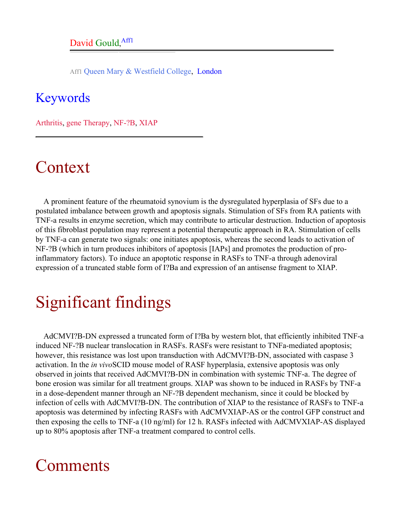Aff1 Queen Mary & Westfield College, London

#### <span id="page-1-0"></span>Keywords

Arthritis, gene Therapy, NF-?B, XIAP

## Context

A prominent feature of the rheumatoid synovium is the dysregulated hyperplasia of SFs due to a postulated imbalance between growth and apoptosis signals. Stimulation of SFs from RA patients with TNF-a results in enzyme secretion, which may contribute to articular destruction. Induction of apoptosis of this fibroblast population may represent a potential therapeutic approach in RA. Stimulation of cells by TNF-a can generate two signals: one initiates apoptosis, whereas the second leads to activation of NF-?B (which in turn produces inhibitors of apoptosis [IAPs] and promotes the production of proinflammatory factors). To induce an apoptotic response in RASFs to TNF-a through adenoviral expression of a truncated stable form of I?Ba and expression of an antisense fragment to XIAP.

# Significant findings

AdCMVI?B-DN expressed a truncated form of I?Ba by western blot, that efficiently inhibited TNF-a induced NF-?B nuclear translocation in RASFs. RASFs were resistant to TNFa-mediated apoptosis; however, this resistance was lost upon transduction with AdCMVI?B-DN, associated with caspase 3 activation. In the *in vivo*SCID mouse model of RASF hyperplasia, extensive apoptosis was only observed in joints that received AdCMVI?B-DN in combination with systemic TNF-a. The degree of bone erosion was similar for all treatment groups. XIAP was shown to be induced in RASFs by TNF-a in a dose-dependent manner through an NF-?B dependent mechanism, since it could be blocked by infection of cells with AdCMVI?B-DN. The contribution of XIAP to the resistance of RASFs to TNF-a apoptosis was determined by infecting RASFs with AdCMVXIAP-AS or the control GFP construct and then exposing the cells to TNF-a (10 ng/ml) for 12 h. RASFs infected with AdCMVXIAP-AS displayed up to 80% apoptosis after TNF-a treatment compared to control cells.

## **Comments**